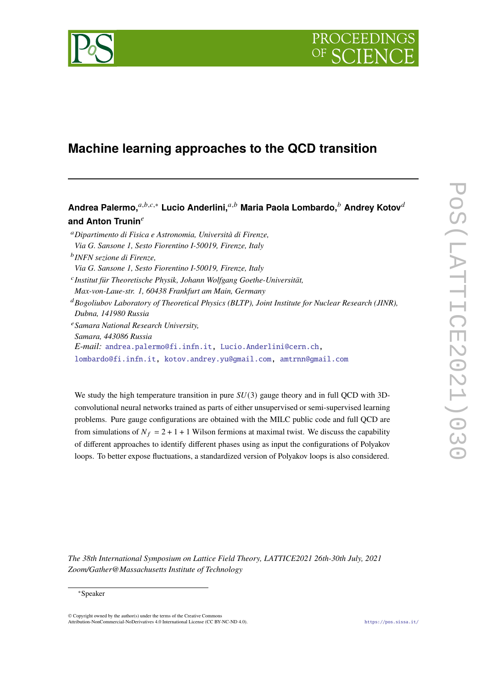

# **Machine learning approaches to the QCD transition**

Andrea Palermo,<sup>*a,b,c,∗*</sup> Lucio Anderlini,<sup>*a,b*</sup> Maria Paola Lombardo,<sup>*b*</sup> Andrey Kotov<sup>*d*</sup> and Anton Trunin<sup>e</sup>

<sup>𝑎</sup>*Dipartimento di Fisica e Astronomia, Università di Firenze, Via G. Sansone 1, Sesto Fiorentino I-50019, Firenze, Italy* 𝑏 *INFN sezione di Firenze, Via G. Sansone 1, Sesto Fiorentino I-50019, Firenze, Italy* 𝑐 *Institut für Theoretische Physik, Johann Wolfgang Goethe-Universität, Max-von-Laue-str. 1, 60438 Frankfurt am Main, Germany* <sup>𝑑</sup>*Bogoliubov Laboratory of Theoretical Physics (BLTP), Joint Institute for Nuclear Research (JINR), Dubna, 141980 Russia* <sup>𝑒</sup>*Samara National Research University, Samara, 443086 Russia E-mail:* [andrea.palermo@fi.infn.it,](mailto:andrea.palermo@fi.infn.it) [Lucio.Anderlini@cern.ch,](mailto:Lucio.Anderlini@cern.ch) [lombardo@fi.infn.it,](mailto:lombardo@fi.infn.it) [kotov.andrey.yu@gmail.com,](mailto:kotov.andrey.yu@gmail.com) [amtrnn@gmail.com](mailto:amtrnn@gmail.com)

We study the high temperature transition in pure  $SU(3)$  gauge theory and in full QCD with 3Dconvolutional neural networks trained as parts of either unsupervised or semi-supervised learning problems. Pure gauge configurations are obtained with the MILC public code and full QCD are from simulations of  $N_f = 2 + 1 + 1$  Wilson fermions at maximal twist. We discuss the capability of different approaches to identify different phases using as input the configurations of Polyakov loops. To better expose fluctuations, a standardized version of Polyakov loops is also considered.

*The 38th International Symposium on Lattice Field Theory, LATTICE2021 26th-30th July, 2021 Zoom/Gather@Massachusetts Institute of Technology*

#### <sup>∗</sup>Speaker

 $\odot$  Copyright owned by the author(s) under the terms of the Creative Common Attribution-NonCommercial-NoDerivatives 4.0 International License (CC BY-NC-ND 4.0). <https://pos.sissa.it/>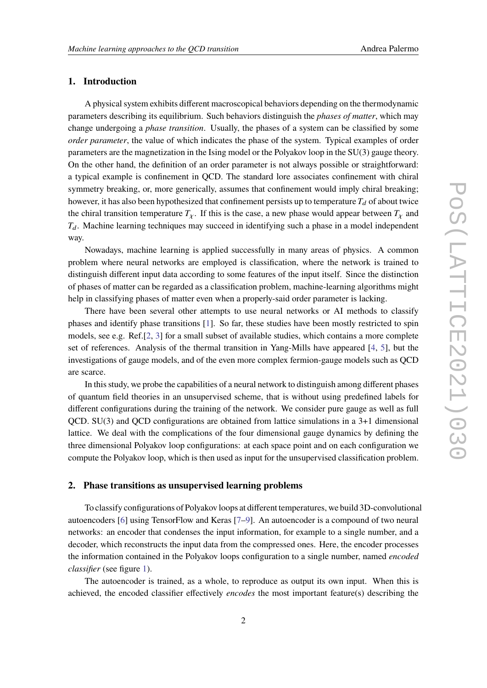# **1. Introduction**

A physical system exhibits different macroscopical behaviors depending on the thermodynamic parameters describing its equilibrium. Such behaviors distinguish the *phases of matter*, which may change undergoing a *phase transition*. Usually, the phases of a system can be classified by some *order parameter*, the value of which indicates the phase of the system. Typical examples of order parameters are the magnetization in the Ising model or the Polyakov loop in the SU(3) gauge theory. On the other hand, the definition of an order parameter is not always possible or straightforward: a typical example is confinement in QCD. The standard lore associates confinement with chiral symmetry breaking, or, more generically, assumes that confinement would imply chiral breaking; however, it has also been hypothesized that confinement persists up to temperature  $T_d$  of about twice the chiral transition temperature  $T_{\chi}$ . If this is the case, a new phase would appear between  $T_{\chi}$  and  $T_d$ . Machine learning techniques may succeed in identifying such a phase in a model independent way.

Nowadays, machine learning is applied successfully in many areas of physics. A common problem where neural networks are employed is classification, where the network is trained to distinguish different input data according to some features of the input itself. Since the distinction of phases of matter can be regarded as a classification problem, machine-learning algorithms might help in classifying phases of matter even when a properly-said order parameter is lacking.

There have been several other attempts to use neural networks or AI methods to classify phases and identify phase transitions [\[1\]](#page-6-0). So far, these studies have been mostly restricted to spin models, see e.g. Ref.[\[2,](#page-6-1) [3\]](#page-6-2) for a small subset of available studies, which contains a more complete set of references. Analysis of the thermal transition in Yang-Mills have appeared [\[4,](#page-6-3) [5\]](#page-6-4), but the investigations of gauge models, and of the even more complex fermion-gauge models such as QCD are scarce.

In this study, we probe the capabilities of a neural network to distinguish among different phases of quantum field theories in an unsupervised scheme, that is without using predefined labels for different configurations during the training of the network. We consider pure gauge as well as full QCD. SU(3) and QCD configurations are obtained from lattice simulations in a 3+1 dimensional lattice. We deal with the complications of the four dimensional gauge dynamics by defining the three dimensional Polyakov loop configurations: at each space point and on each configuration we compute the Polyakov loop, which is then used as input for the unsupervised classification problem.

#### **2. Phase transitions as unsupervised learning problems**

To classify configurations of Polyakov loops at different temperatures, we build 3D-convolutional autoencoders [\[6\]](#page-6-5) using TensorFlow and Keras [\[7](#page-6-6)[–9\]](#page-6-7). An autoencoder is a compound of two neural networks: an encoder that condenses the input information, for example to a single number, and a decoder, which reconstructs the input data from the compressed ones. Here, the encoder processes the information contained in the Polyakov loops configuration to a single number, named *encoded classifier* (see figure [1\)](#page-2-0).

The autoencoder is trained, as a whole, to reproduce as output its own input. When this is achieved, the encoded classifier effectively *encodes* the most important feature(s) describing the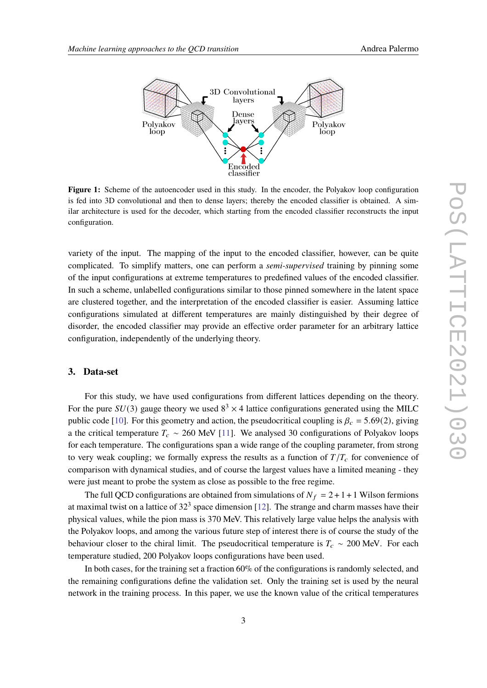<span id="page-2-0"></span>

**Figure 1:** Scheme of the autoencoder used in this study. In the encoder, the Polyakov loop configuration is fed into 3D convolutional and then to dense layers; thereby the encoded classifier is obtained. A similar architecture is used for the decoder, which starting from the encoded classifier reconstructs the input configuration.

variety of the input. The mapping of the input to the encoded classifier, however, can be quite complicated. To simplify matters, one can perform a *semi-supervised* training by pinning some of the input configurations at extreme temperatures to predefined values of the encoded classifier. In such a scheme, unlabelled configurations similar to those pinned somewhere in the latent space are clustered together, and the interpretation of the encoded classifier is easier. Assuming lattice configurations simulated at different temperatures are mainly distinguished by their degree of disorder, the encoded classifier may provide an effective order parameter for an arbitrary lattice configuration, independently of the underlying theory.

# **3. Data-set**

For this study, we have used configurations from different lattices depending on the theory. For the pure  $SU(3)$  gauge theory we used  $8<sup>3</sup> \times 4$  lattice configurations generated using the MILC public code [\[10\]](#page-6-8). For this geometry and action, the pseudocritical coupling is  $\beta_c = 5.69(2)$ , giving a the critical temperature  $T_c \sim 260$  MeV [\[11\]](#page-6-9). We analysed 30 configurations of Polyakov loops for each temperature. The configurations span a wide range of the coupling parameter, from strong to very weak coupling; we formally express the results as a function of  $T/T_c$  for convenience of comparison with dynamical studies, and of course the largest values have a limited meaning - they were just meant to probe the system as close as possible to the free regime.

The full QCD configurations are obtained from simulations of  $N_f = 2 + 1 + 1$  Wilson fermions at maximal twist on a lattice of  $32<sup>3</sup>$  space dimension [\[12\]](#page-6-10). The strange and charm masses have their physical values, while the pion mass is 370 MeV. This relatively large value helps the analysis with the Polyakov loops, and among the various future step of interest there is of course the study of the behaviour closer to the chiral limit. The pseudocritical temperature is  $T_c \sim 200$  MeV. For each temperature studied, 200 Polyakov loops configurations have been used.

In both cases, for the training set a fraction 60% of the configurations is randomly selected, and the remaining configurations define the validation set. Only the training set is used by the neural network in the training process. In this paper, we use the known value of the critical temperatures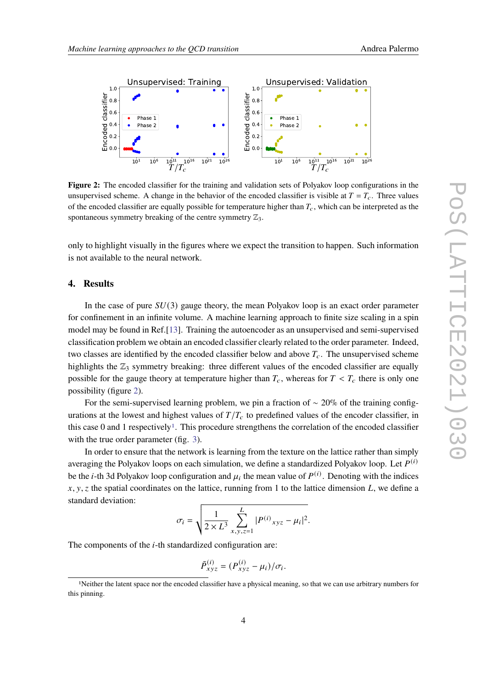<span id="page-3-0"></span>

**Figure 2:** The encoded classifier for the training and validation sets of Polyakov loop configurations in the unsupervised scheme. A change in the behavior of the encoded classifier is visible at  $T = T_c$ . Three values of the encoded classifier are equally possible for temperature higher than  $T_c$ , which can be interpreted as the spontaneous symmetry breaking of the centre symmetry  $\mathbb{Z}_3$ .

only to highlight visually in the figures where we expect the transition to happen. Such information is not available to the neural network.

# **4. Results**

In the case of pure  $SU(3)$  gauge theory, the mean Polyakov loop is an exact order parameter for confinement in an infinite volume. A machine learning approach to finite size scaling in a spin model may be found in Ref.[\[13\]](#page-6-11). Training the autoencoder as an unsupervised and semi-supervised classification problem we obtain an encoded classifier clearly related to the order parameter. Indeed, two classes are identified by the encoded classifier below and above  $T_c$ . The unsupervised scheme highlights the  $\mathbb{Z}_3$  symmetry breaking: three different values of the encoded classifier are equally possible for the gauge theory at temperature higher than  $T_c$ , whereas for  $T < T_c$  there is only one possibility (figure [2\)](#page-3-0).

For the semi-supervised learning problem, we pin a fraction of  $\sim$  20% of the training configurations at the lowest and highest values of  $T/T_c$  to predefined values of the encoder classifier, in this case 0 and [1](#page-3-1) respectively<sup>1</sup>. This procedure strengthens the correlation of the encoded classifier with the true order parameter (fig. [3\)](#page-4-0).

In order to ensure that the network is learning from the texture on the lattice rather than simply averaging the Polyakov loops on each simulation, we define a standardized Polyakov loop. Let  $P^{(i)}$ be the *i*-th 3d Polyakov loop configuration and  $\mu_i$  the mean value of  $P^{(i)}$ . Denoting with the indices  $x, y, z$  the spatial coordinates on the lattice, running from 1 to the lattice dimension L, we define a standard deviation:

$$
\sigma_i = \sqrt{\frac{1}{2 \times L^3} \sum_{x,y,z=1}^{L} |P^{(i)}_{xyz} - \mu_i|^2}.
$$

The components of the  $i$ -th standardized configuration are:

$$
\tilde{P}_{xyz}^{(i)} = (P_{xyz}^{(i)} - \mu_i)/\sigma_i.
$$

<span id="page-3-1"></span><sup>1</sup>Neither the latent space nor the encoded classifier have a physical meaning, so that we can use arbitrary numbers for this pinning.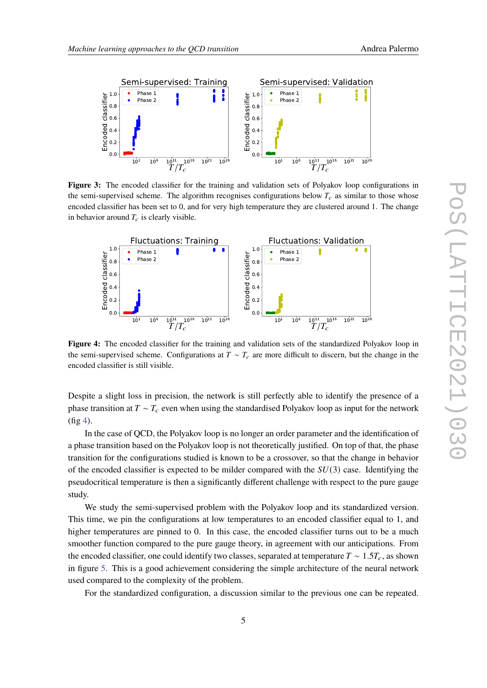<span id="page-4-0"></span>

**Figure 3:** The encoded classifier for the training and validation sets of Polyakov loop configurations in the semi-supervised scheme. The algorithm recognises configurations below  $T_c$  as similar to those whose encoded classifier has been set to 0, and for very high temperature they are clustered around 1. The change in behavior around  $T_c$  is clearly visible.

<span id="page-4-1"></span>

**Figure 4:** The encoded classifier for the training and validation sets of the standardized Polyakov loop in the semi-supervised scheme. Configurations at  $T \sim T_c$  are more difficult to discern, but the change in the encoded classifier is still visible.

Despite a slight loss in precision, the network is still perfectly able to identify the presence of a phase transition at  $T \sim T_c$  even when using the standardised Polyakov loop as input for the network (fig [4\)](#page-4-1).

In the case of QCD, the Polyakov loop is no longer an order parameter and the identification of a phase transition based on the Polyakov loop is not theoretically justified. On top of that, the phase transition for the configurations studied is known to be a crossover, so that the change in behavior of the encoded classifier is expected to be milder compared with the  $SU(3)$  case. Identifying the pseudocritical temperature is then a significantly different challenge with respect to the pure gauge study.

We study the semi-supervised problem with the Polyakov loop and its standardized version. This time, we pin the configurations at low temperatures to an encoded classifier equal to 1, and higher temperatures are pinned to 0. In this case, the encoded classifier turns out to be a much smoother function compared to the pure gauge theory, in agreement with our anticipations. From the encoded classifier, one could identify two classes, separated at temperature  $T \sim 1.5T_c$ , as shown in figure [5.](#page-5-0) This is a good achievement considering the simple architecture of the neural network used compared to the complexity of the problem.

For the standardized configuration, a discussion similar to the previous one can be repeated.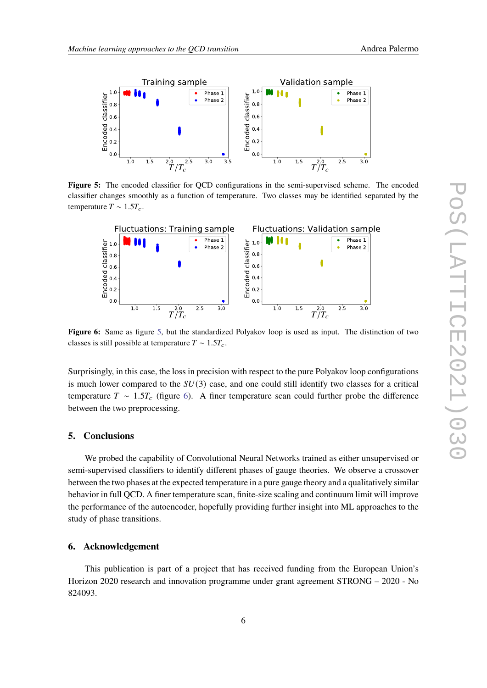<span id="page-5-0"></span>

**Figure 5:** The encoded classifier for QCD configurations in the semi-supervised scheme. The encoded classifier changes smoothly as a function of temperature. Two classes may be identified separated by the temperature  $T \sim 1.5T_c$ .

<span id="page-5-1"></span>

**Figure 6:** Same as figure [5,](#page-5-0) but the standardized Polyakov loop is used as input. The distinction of two classes is still possible at temperature  $T \sim 1.5T_c$ .

Surprisingly, in this case, the loss in precision with respect to the pure Polyakov loop configurations is much lower compared to the  $SU(3)$  case, and one could still identify two classes for a critical temperature  $T \sim 1.5T_c$  (figure [6\)](#page-5-1). A finer temperature scan could further probe the difference between the two preprocessing.

# **5. Conclusions**

We probed the capability of Convolutional Neural Networks trained as either unsupervised or semi-supervised classifiers to identify different phases of gauge theories. We observe a crossover between the two phases at the expected temperature in a pure gauge theory and a qualitatively similar behavior in full QCD. A finer temperature scan, finite-size scaling and continuum limit will improve the performance of the autoencoder, hopefully providing further insight into ML approaches to the study of phase transitions.

# **6. Acknowledgement**

This publication is part of a project that has received funding from the European Union's Horizon 2020 research and innovation programme under grant agreement STRONG – 2020 - No 824093.